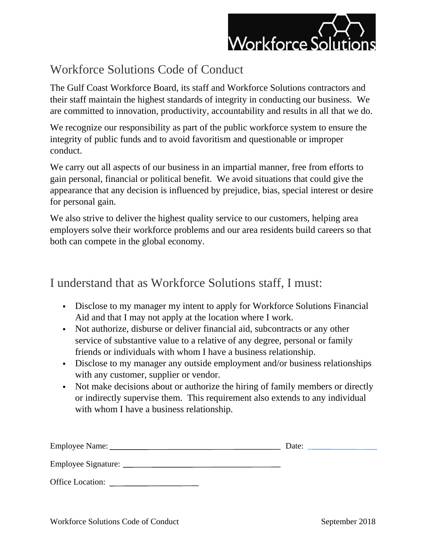

## Workforce Solutions Code of Conduct

The Gulf Coast Workforce Board, its staff and Workforce Solutions contractors and their staff maintain the highest standards of integrity in conducting our business. We are committed to innovation, productivity, accountability and results in all that we do.

We recognize our responsibility as part of the public workforce system to ensure the integrity of public funds and to avoid favoritism and questionable or improper conduct.

We carry out all aspects of our business in an impartial manner, free from efforts to gain personal, financial or political benefit. We avoid situations that could give the appearance that any decision is influenced by prejudice, bias, special interest or desire for personal gain.

We also strive to deliver the highest quality service to our customers, helping area employers solve their workforce problems and our area residents build careers so that both can compete in the global economy.

I understand that as Workforce Solutions staff, I must:

- Disclose to my manager my intent to apply for Workforce Solutions Financial Aid and that I may not apply at the location where I work.
- Not authorize, disburse or deliver financial aid, subcontracts or any other service of substantive value to a relative of any degree, personal or family friends or individuals with whom I have a business relationship.
- **•** Disclose to my manager any outside employment and/or business relationships with any customer, supplier or vendor.
- Not make decisions about or authorize the hiring of family members or directly or indirectly supervise them. This requirement also extends to any individual with whom I have a business relationship.

| Employee Name:      | Date: |
|---------------------|-------|
| Employee Signature: |       |
| Office Location:    |       |